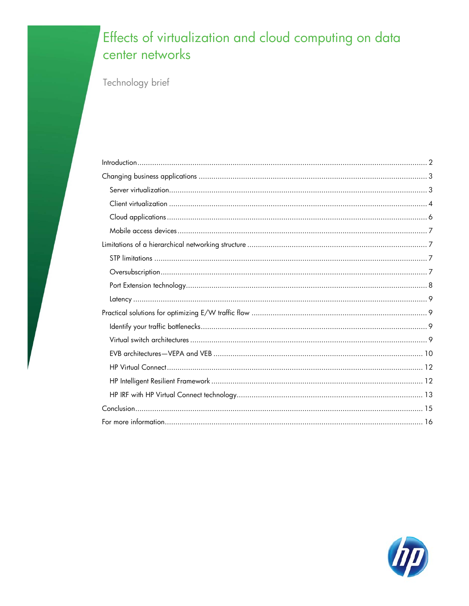# Effects of virtualization and cloud computing on data center networks

Technology brief

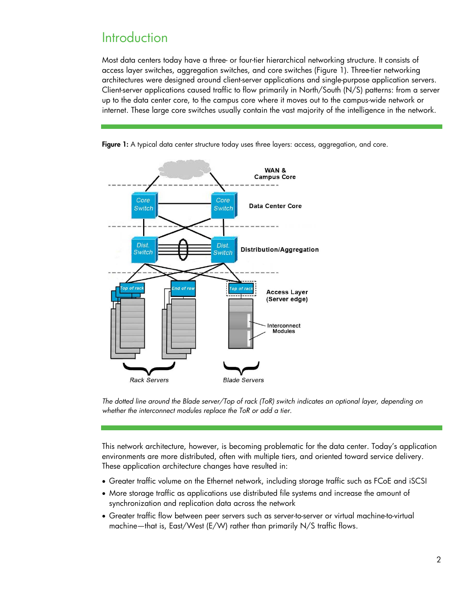## <span id="page-1-0"></span>**Introduction**

Most data centers today have a three- or four-tier hierarchical networking structure. It consists of access layer switches, aggregation switches, and core switches (Figure 1). Three-tier networking architectures were designed around client-server applications and single-purpose application servers. Client-server applications caused traffic to flow primarily in North/South (N/S) patterns: from a server up to the data center core, to the campus core where it moves out to the campus-wide network or internet. These large core switches usually contain the vast majority of the intelligence in the network.



Figure 1: A typical data center structure today uses three layers: access, aggregation, and core.

*The dotted line around the Blade server/Top of rack (ToR) switch indicates an optional layer, depending on whether the interconnect modules replace the ToR or add a tier.*

This network architecture, however, is becoming problematic for the data center. Today's application environments are more distributed, often with multiple tiers, and oriented toward service delivery. These application architecture changes have resulted in:

- Greater traffic volume on the Ethernet network, including storage traffic such as FCoE and iSCSI
- More storage traffic as applications use distributed file systems and increase the amount of synchronization and replication data across the network
- Greater traffic flow between peer servers such as server-to-server or virtual machine-to-virtual machine—that is, East/West (E/W) rather than primarily N/S traffic flows.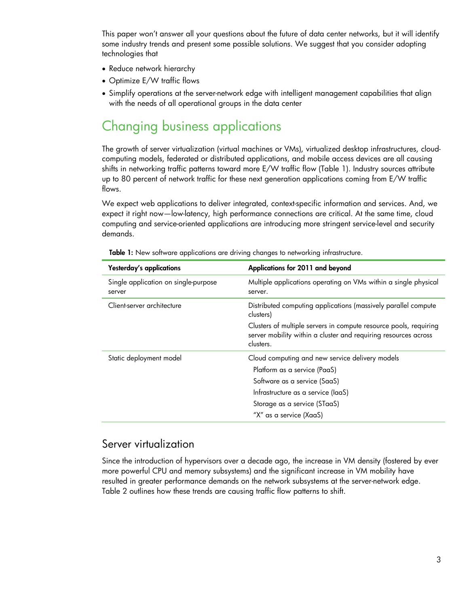This paper won't answer all your questions about the future of data center networks, but it will identify some industry trends and present some possible solutions. We suggest that you consider adopting technologies that

- Reduce network hierarchy
- Optimize E/W traffic flows
- Simplify operations at the server-network edge with intelligent management capabilities that align with the needs of all operational groups in the data center

## <span id="page-2-0"></span>Changing business applications

The growth of server virtualization (virtual machines or VMs), virtualized desktop infrastructures, cloudcomputing models, federated or distributed applications, and mobile access devices are all causing shifts in networking traffic patterns toward more E/W traffic flow (Table 1). Industry sources attribute up to 80 percent of network traffic for these next generation applications coming from E/W traffic flows.

We expect web applications to deliver integrated, context-specific information and services. And, we expect it right now—low-latency, high performance connections are critical. At the same time, cloud computing and service-oriented applications are introducing more stringent service-level and security demands.

| Yesterday's applications                       | Applications for 2011 and beyond                                                                                                                  |
|------------------------------------------------|---------------------------------------------------------------------------------------------------------------------------------------------------|
| Single application on single-purpose<br>server | Multiple applications operating on VMs within a single physical<br>server.                                                                        |
| Client-server architecture                     | Distributed computing applications (massively parallel compute<br>clusters)                                                                       |
|                                                | Clusters of multiple servers in compute resource pools, requiring<br>server mobility within a cluster and requiring resources across<br>clusters. |
| Static deployment model                        | Cloud computing and new service delivery models                                                                                                   |
|                                                | Platform as a service (PaaS)                                                                                                                      |
|                                                | Software as a service (SaaS)                                                                                                                      |
|                                                | Infrastructure as a service (laaS)                                                                                                                |
|                                                | Storage as a service (STaaS)                                                                                                                      |
|                                                | "X" as a service (XaaS)                                                                                                                           |

Table 1: New software applications are driving changes to networking infrastructure.

#### <span id="page-2-1"></span>Server virtualization

Since the introduction of hypervisors over a decade ago, the increase in VM density (fostered by ever more powerful CPU and memory subsystems) and the significant increase in VM mobility have resulted in greater performance demands on the network subsystems at the server-network edge. Table 2 outlines how these trends are causing traffic flow patterns to shift.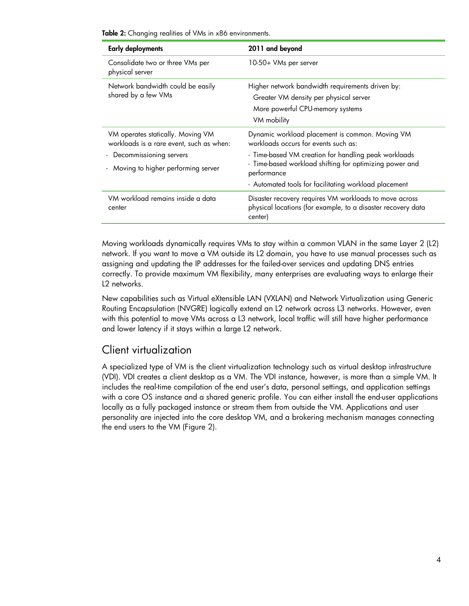Table 2: Changing realities of VMs in x86 environments.

| <b>Early deployments</b>                                                      | 2011 and beyond                                                                                                                               |
|-------------------------------------------------------------------------------|-----------------------------------------------------------------------------------------------------------------------------------------------|
| Consolidate two or three VMs per<br>physical server                           | 10-50+ VMs per server                                                                                                                         |
| Network bandwidth could be easily<br>shared by a few VMs                      | Higher network bandwidth requirements driven by:<br>Greater VM density per physical server<br>More powerful CPU-memory systems<br>VM mobility |
| VM operates statically. Moving VM<br>workloads is a rare event, such as when: | Dynamic workload placement is common. Moving VM<br>workloads occurs for events such as:                                                       |
| - Decommissioning servers<br>- Moving to higher performing server             | - Time-based VM creation for handling peak workloads<br>- Time-based workload shifting for optimizing power and<br>performance                |
|                                                                               | - Automated tools for facilitating workload placement                                                                                         |
| VM workload remains inside a data<br>center                                   | Disaster recovery requires VM workloads to move across<br>physical locations (for example, to a disaster recovery data<br>center)             |

Moving workloads dynamically requires VMs to stay within a common VLAN in the same Layer 2 (L2) network. If you want to move a VM outside its L2 domain, you have to use manual processes such as assigning and updating the IP addresses for the failed-over services and updating DNS entries correctly. To provide maximum VM flexibility, many enterprises are evaluating ways to enlarge their L2 networks.

New capabilities such as Virtual eXtensible LAN (VXLAN) and Network Virtualization using Generic Routing Encapsulation (NVGRE) logically extend an L2 network across L3 networks. However, even with this potential to move VMs across a L3 network, local traffic will still have higher performance and lower latency if it stays within a large L2 network.

### <span id="page-3-0"></span>Client virtualization

A specialized type of VM is the client virtualization technology such as virtual desktop infrastructure (VDI). VDI creates a client desktop as a VM. The VDI instance, however, is more than a simple VM. It includes the real-time compilation of the end user's data, personal settings, and application settings with a core OS instance and a shared generic profile. You can either install the end-user applications locally as a fully packaged instance or stream them from outside the VM. Applications and user personality are injected into the core desktop VM, and a brokering mechanism manages connecting the end users to the VM (Figure 2).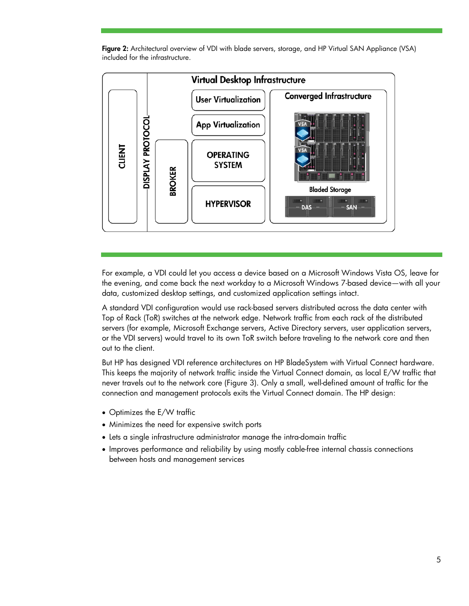



For example, a VDI could let you access a device based on a Microsoft Windows Vista OS, leave for the evening, and come back the next workday to a Microsoft Windows 7-based device—with all your data, customized desktop settings, and customized application settings intact.

A standard VDI configuration would use rack-based servers distributed across the data center with Top of Rack (ToR) switches at the network edge. Network traffic from each rack of the distributed servers (for example, Microsoft Exchange servers, Active Directory servers, user application servers, or the VDI servers) would travel to its own ToR switch before traveling to the network core and then out to the client.

But HP has designed VDI reference architectures on HP BladeSystem with Virtual Connect hardware. This keeps the majority of network traffic inside the Virtual Connect domain, as local E/W traffic that never travels out to the network core (Figure 3). Only a small, well-defined amount of traffic for the connection and management protocols exits the Virtual Connect domain. The HP design:

- Optimizes the E/W traffic
- Minimizes the need for expensive switch ports
- Lets a single infrastructure administrator manage the intra-domain traffic
- Improves performance and reliability by using mostly cable-free internal chassis connections between hosts and management services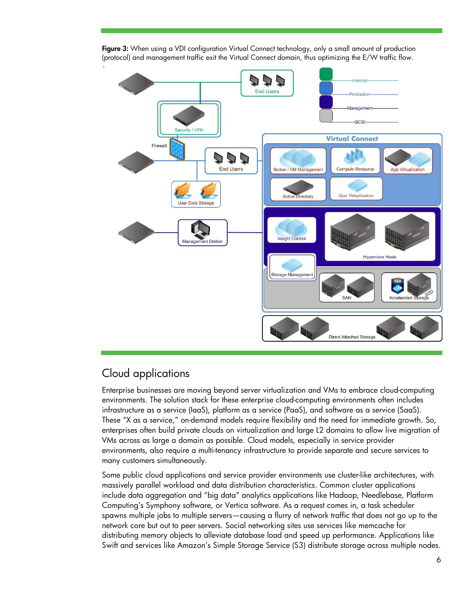

Figure 3: When using a VDI configuration Virtual Connect technology, only a small amount of production (protocol) and management traffic exit the Virtual Connect domain, thus optimizing the E/W traffic flow.

## <span id="page-5-0"></span>Cloud applications

Enterprise businesses are moving beyond server virtualization and VMs to embrace cloud-computing environments. The solution stack for these enterprise cloud-computing environments often includes infrastructure as a service (IaaS), platform as a service (PaaS), and software as a service (SaaS). These "X as a service," on-demand models require flexibility and the need for immediate growth. So, enterprises often build private clouds on virtualization and large L2 domains to allow live migration of VMs across as large a domain as possible. Cloud models, especially in service provider environments, also require a multi-tenancy infrastructure to provide separate and secure services to many customers simultaneously.

Some public cloud applications and service provider environments use cluster-like architectures, with massively parallel workload and data distribution characteristics. Common cluster applications include data aggregation and "big data" analytics applications like Hadoop, Needlebase, Platform Computing's Symphony software, or Vertica software. As a request comes in, a task scheduler spawns multiple jobs to multiple servers—causing a flurry of network traffic that does not go up to the network core but out to peer servers. Social networking sites use services like memcache for distributing memory objects to alleviate database load and speed up performance. Applications like Swift and services like Amazon's Simple Storage Service (S3) distribute storage across multiple nodes.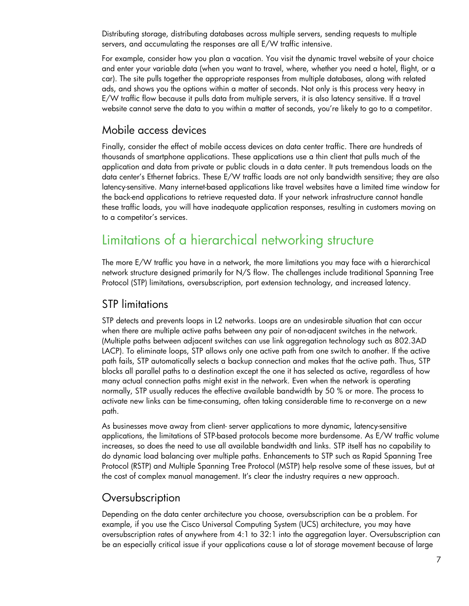Distributing storage, distributing databases across multiple servers, sending requests to multiple servers, and accumulating the responses are all E/W traffic intensive.

For example, consider how you plan a vacation. You visit the dynamic travel website of your choice and enter your variable data (when you want to travel, where, whether you need a hotel, flight, or a car). The site pulls together the appropriate responses from multiple databases, along with related ads, and shows you the options within a matter of seconds. Not only is this process very heavy in E/W traffic flow because it pulls data from multiple servers, it is also latency sensitive. If a travel website cannot serve the data to you within a matter of seconds, you're likely to go to a competitor.

#### <span id="page-6-0"></span>Mobile access devices

Finally, consider the effect of mobile access devices on data center traffic. There are hundreds of thousands of smartphone applications. These applications use a thin client that pulls much of the application and data from private or public clouds in a data center. It puts tremendous loads on the data center's Ethernet fabrics. These E/W traffic loads are not only bandwidth sensitive; they are also latency-sensitive. Many internet-based applications like travel websites have a limited time window for the back-end applications to retrieve requested data. If your network infrastructure cannot handle these traffic loads, you will have inadequate application responses, resulting in customers moving on to a competitor's services.

## <span id="page-6-1"></span>Limitations of a hierarchical networking structure

The more E/W traffic you have in a network, the more limitations you may face with a hierarchical network structure designed primarily for N/S flow. The challenges include traditional Spanning Tree Protocol (STP) limitations, oversubscription, port extension technology, and increased latency.

#### <span id="page-6-2"></span>STP limitations

STP detects and prevents loops in L2 networks. Loops are an undesirable situation that can occur when there are multiple active paths between any pair of non-adjacent switches in the network. (Multiple paths between adjacent switches can use link aggregation technology such as 802.3AD LACP). To eliminate loops, STP allows only one active path from one switch to another. If the active path fails, STP automatically selects a backup connection and makes that the active path. Thus, STP blocks all parallel paths to a destination except the one it has selected as active, regardless of how many actual connection paths might exist in the network. Even when the network is operating normally, STP usually reduces the effective available bandwidth by 50 % or more. The process to activate new links can be time-consuming, often taking considerable time to re-converge on a new path.

As businesses move away from client- server applications to more dynamic, latency-sensitive applications, the limitations of STP-based protocols become more burdensome. As E/W traffic volume increases, so does the need to use all available bandwidth and links. STP itself has no capability to do dynamic load balancing over multiple paths. Enhancements to STP such as Rapid Spanning Tree Protocol (RSTP) and Multiple Spanning Tree Protocol (MSTP) help resolve some of these issues, but at the cost of complex manual management. It's clear the industry requires a new approach.

#### <span id="page-6-3"></span>**Oversubscription**

Depending on the data center architecture you choose, oversubscription can be a problem. For example, if you use the Cisco Universal Computing System (UCS) architecture, you may have oversubscription rates of anywhere from 4:1 to 32:1 into the aggregation layer. Oversubscription can be an especially critical issue if your applications cause a lot of storage movement because of large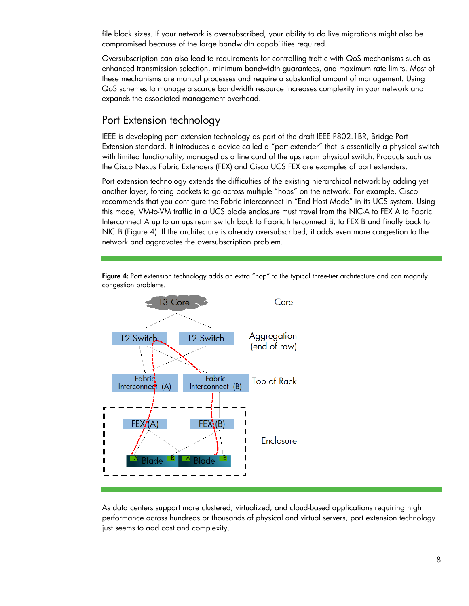file block sizes. If your network is oversubscribed, your ability to do live migrations might also be compromised because of the large bandwidth capabilities required.

Oversubscription can also lead to requirements for controlling traffic with QoS mechanisms such as enhanced transmission selection, minimum bandwidth guarantees, and maximum rate limits. Most of these mechanisms are manual processes and require a substantial amount of management. Using QoS schemes to manage a scarce bandwidth resource increases complexity in your network and expands the associated management overhead.

#### <span id="page-7-0"></span>Port Extension technology

IEEE is developing port extension technology as part of the draft IEEE P802.1BR, Bridge Port Extension standard. It introduces a device called a "port extender" that is essentially a physical switch with limited functionality, managed as a line card of the upstream physical switch. Products such as the Cisco Nexus Fabric Extenders (FEX) and Cisco UCS FEX are examples of port extenders.

Port extension technology extends the difficulties of the existing hierarchical network by adding yet another layer, forcing packets to go across multiple "hops" on the network. For example, Cisco recommends that you configure the Fabric interconnect in "End Host Mode" in its UCS system. Using this mode, VM-to-VM traffic in a UCS blade enclosure must travel from the NIC-A to FEX A to Fabric Interconnect A up to an upstream switch back to Fabric Interconnect B, to FEX B and finally back to NIC B (Figure 4). If the architecture is already oversubscribed, it adds even more congestion to the network and aggravates the oversubscription problem.



Figure 4: Port extension technology adds an extra "hop" to the typical three-tier architecture and can magnify congestion problems.

As data centers support more clustered, virtualized, and cloud-based applications requiring high performance across hundreds or thousands of physical and virtual servers, port extension technology just seems to add cost and complexity.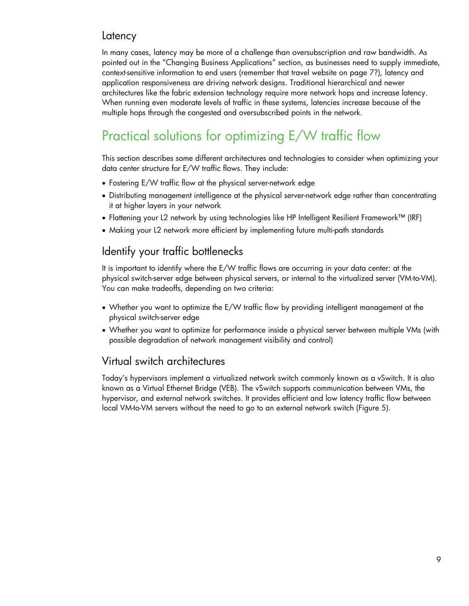### <span id="page-8-0"></span>**Latency**

In many cases, latency may be more of a challenge than oversubscription and raw bandwidth. As pointed out in the "Changing Business Applications" section, as businesses need to supply immediate, context-sensitive information to end users (remember that travel website on page 7?), latency and application responsiveness are driving network designs. Traditional hierarchical and newer architectures like the fabric extension technology require more network hops and increase latency. When running even moderate levels of traffic in these systems, latencies increase because of the multiple hops through the congested and oversubscribed points in the network.

# <span id="page-8-1"></span>Practical solutions for optimizing E/W traffic flow

This section describes some different architectures and technologies to consider when optimizing your data center structure for E/W traffic flows. They include:

- Fostering E/W traffic flow at the physical server-network edge
- Distributing management intelligence at the physical server-network edge rather than concentrating it at higher layers in your network
- Flattening your L2 network by using technologies like HP Intelligent Resilient Framework™ (IRF)
- Making your L2 network more efficient by implementing future multi-path standards

### <span id="page-8-2"></span>Identify your traffic bottlenecks

It is important to identify where the E/W traffic flows are occurring in your data center: at the physical switch-server edge between physical servers, or internal to the virtualized server (VM-to-VM). You can make tradeoffs, depending on two criteria:

- Whether you want to optimize the E/W traffic flow by providing intelligent management at the physical switch-server edge
- Whether you want to optimize for performance inside a physical server between multiple VMs (with possible degradation of network management visibility and control)

### <span id="page-8-3"></span>Virtual switch architectures

Today's hypervisors implement a virtualized network switch commonly known as a vSwitch. It is also known as a Virtual Ethernet Bridge (VEB). The vSwitch supports communication between VMs, the hypervisor, and external network switches. It provides efficient and low latency traffic flow between local VM-to-VM servers without the need to go to an external network switch (Figure 5).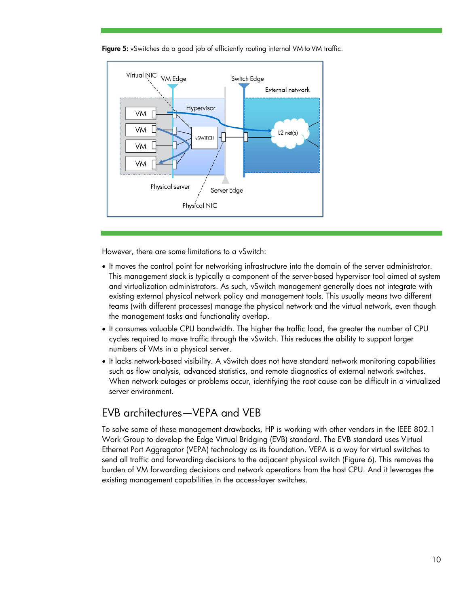

Figure 5: vSwitches do a good job of efficiently routing internal VM-to-VM traffic.

However, there are some limitations to a vSwitch:

- It moves the control point for networking infrastructure into the domain of the server administrator. This management stack is typically a component of the server-based hypervisor tool aimed at system and virtualization administrators. As such, vSwitch management generally does not integrate with existing external physical network policy and management tools. This usually means two different teams (with different processes) manage the physical network and the virtual network, even though the management tasks and functionality overlap.
- It consumes valuable CPU bandwidth. The higher the traffic load, the greater the number of CPU cycles required to move traffic through the vSwitch. This reduces the ability to support larger numbers of VMs in a physical server.
- It lacks network-based visibility. A vSwitch does not have standard network monitoring capabilities such as flow analysis, advanced statistics, and remote diagnostics of external network switches. When network outages or problems occur, identifying the root cause can be difficult in a virtualized server environment.

### <span id="page-9-0"></span>EVB architectures—VEPA and VEB

To solve some of these management drawbacks, HP is working with other vendors in the IEEE 802.1 Work Group to develop the Edge Virtual Bridging (EVB) standard. The EVB standard uses Virtual Ethernet Port Aggregator (VEPA) technology as its foundation. VEPA is a way for virtual switches to send all traffic and forwarding decisions to the adjacent physical switch (Figure 6). This removes the burden of VM forwarding decisions and network operations from the host CPU. And it leverages the existing management capabilities in the access-layer switches.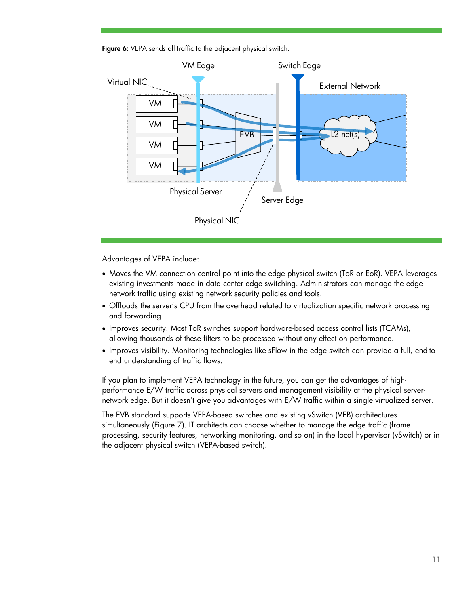Figure 6: VEPA sends all traffic to the adjacent physical switch.



Advantages of VEPA include:

- Moves the VM connection control point into the edge physical switch (ToR or EoR). VEPA leverages existing investments made in data center edge switching. Administrators can manage the edge network traffic using existing network security policies and tools.
- Offloads the server's CPU from the overhead related to virtualization specific network processing and forwarding
- Improves security. Most ToR switches support hardware-based access control lists (TCAMs), allowing thousands of these filters to be processed without any effect on performance.
- Improves visibility. Monitoring technologies like sFlow in the edge switch can provide a full, end-toend understanding of traffic flows.

If you plan to implement VEPA technology in the future, you can get the advantages of highperformance E/W traffic across physical servers and management visibility at the physical servernetwork edge. But it doesn't give you advantages with E/W traffic within a single virtualized server.

The EVB standard supports VEPA-based switches and existing vSwitch (VEB) architectures simultaneously (Figure 7). IT architects can choose whether to manage the edge traffic (frame processing, security features, networking monitoring, and so on) in the local hypervisor (vSwitch) or in the adjacent physical switch (VEPA-based switch).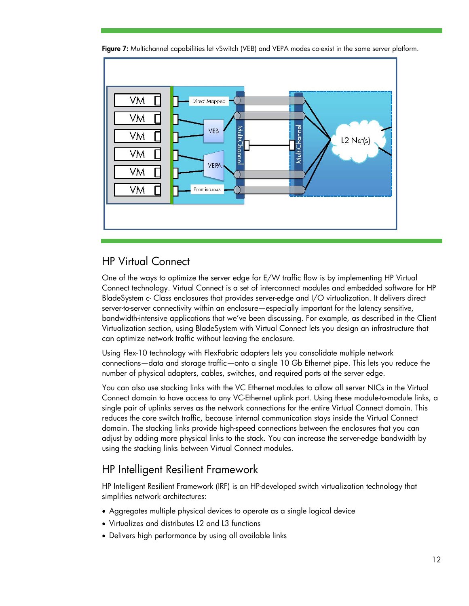

Figure 7: Multichannel capabilities let vSwitch (VEB) and VEPA modes co-exist in the same server platform.

### <span id="page-11-0"></span>HP Virtual Connect

One of the ways to optimize the server edge for E/W traffic flow is by implementing HP Virtual Connect technology. Virtual Connect is a set of interconnect modules and embedded software for HP BladeSystem c- Class enclosures that provides server-edge and I/O virtualization. It delivers direct server-to-server connectivity within an enclosure—especially important for the latency sensitive, bandwidth-intensive applications that we've been discussing. For example, as described in the Client Virtualization section, using BladeSystem with Virtual Connect lets you design an infrastructure that can optimize network traffic without leaving the enclosure.

Using Flex-10 technology with FlexFabric adapters lets you consolidate multiple network connections—data and storage traffic—onto a single 10 Gb Ethernet pipe. This lets you reduce the number of physical adapters, cables, switches, and required ports at the server edge.

You can also use stacking links with the VC Ethernet modules to allow all server NICs in the Virtual Connect domain to have access to any VC-Ethernet uplink port. Using these module-to-module links, a single pair of uplinks serves as the network connections for the entire Virtual Connect domain. This reduces the core switch traffic, because internal communication stays inside the Virtual Connect domain. The stacking links provide high-speed connections between the enclosures that you can adjust by adding more physical links to the stack. You can increase the server-edge bandwidth by using the stacking links between Virtual Connect modules.

## <span id="page-11-1"></span>HP Intelligent Resilient Framework

HP Intelligent Resilient Framework (IRF) is an HP-developed switch virtualization technology that simplifies network architectures:

- Aggregates multiple physical devices to operate as a single logical device
- Virtualizes and distributes L2 and L3 functions
- Delivers high performance by using all available links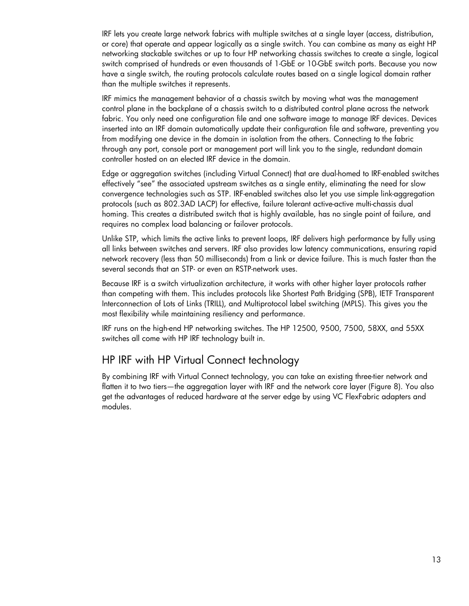IRF lets you create large network fabrics with multiple switches at a single layer (access, distribution, or core) that operate and appear logically as a single switch. You can combine as many as eight HP networking stackable switches or up to four HP networking chassis switches to create a single, logical switch comprised of hundreds or even thousands of 1-GbE or 10-GbE switch ports. Because you now have a single switch, the routing protocols calculate routes based on a single logical domain rather than the multiple switches it represents.

IRF mimics the management behavior of a chassis switch by moving what was the management control plane in the backplane of a chassis switch to a distributed control plane across the network fabric. You only need one configuration file and one software image to manage IRF devices. Devices inserted into an IRF domain automatically update their configuration file and software, preventing you from modifying one device in the domain in isolation from the others. Connecting to the fabric through any port, console port or management port will link you to the single, redundant domain controller hosted on an elected IRF device in the domain.

Edge or aggregation switches (including Virtual Connect) that are dual-homed to IRF-enabled switches effectively "see" the associated upstream switches as a single entity, eliminating the need for slow convergence technologies such as STP. IRF-enabled switches also let you use simple link-aggregation protocols (such as 802.3AD LACP) for effective, failure tolerant active-active multi-chassis dual homing. This creates a distributed switch that is highly available, has no single point of failure, and requires no complex load balancing or failover protocols.

Unlike STP, which limits the active links to prevent loops, IRF delivers high performance by fully using all links between switches and servers. IRF also provides low latency communications, ensuring rapid network recovery (less than 50 milliseconds) from a link or device failure. This is much faster than the several seconds that an STP- or even an RSTP-network uses.

Because IRF is a switch virtualization architecture, it works with other higher layer protocols rather than competing with them. This includes protocols like Shortest Path Bridging (SPB), IETF Transparent Interconnection of Lots of Links (TRILL), and Multiprotocol label switching (MPLS). This gives you the most flexibility while maintaining resiliency and performance.

IRF runs on the high-end HP networking switches. The HP 12500, 9500, 7500, 58XX, and 55XX switches all come with HP IRF technology built in.

#### <span id="page-12-0"></span>HP IRF with HP Virtual Connect technology

By combining IRF with Virtual Connect technology, you can take an existing three-tier network and flatten it to two tiers—the aggregation layer with IRF and the network core layer (Figure 8). You also get the advantages of reduced hardware at the server edge by using VC FlexFabric adapters and modules.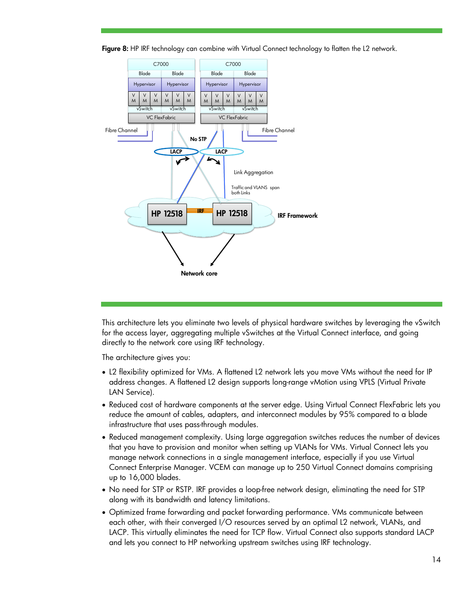

Figure 8: HP IRF technology can combine with Virtual Connect technology to flatten the L2 network.

This architecture lets you eliminate two levels of physical hardware switches by leveraging the vSwitch for the access layer, aggregating multiple vSwitches at the Virtual Connect interface, and going directly to the network core using IRF technology.

The architecture gives you:

- L2 flexibility optimized for VMs. A flattened L2 network lets you move VMs without the need for IP address changes. A flattened L2 design supports long-range vMotion using VPLS (Virtual Private LAN Service).
- Reduced cost of hardware components at the server edge. Using Virtual Connect FlexFabric lets you reduce the amount of cables, adapters, and interconnect modules by 95% compared to a blade infrastructure that uses pass-through modules.
- Reduced management complexity. Using large aggregation switches reduces the number of devices that you have to provision and monitor when setting up VLANs for VMs. Virtual Connect lets you manage network connections in a single management interface, especially if you use Virtual Connect Enterprise Manager. VCEM can manage up to 250 Virtual Connect domains comprising up to 16,000 blades.
- No need for STP or RSTP. IRF provides a loop-free network design, eliminating the need for STP along with its bandwidth and latency limitations.
- Optimized frame forwarding and packet forwarding performance. VMs communicate between each other, with their converged I/O resources served by an optimal L2 network, VLANs, and LACP. This virtually eliminates the need for TCP flow. Virtual Connect also supports standard LACP and lets you connect to HP networking upstream switches using IRF technology.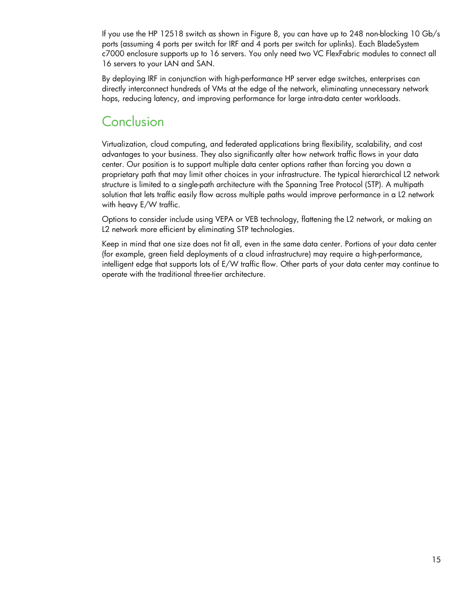If you use the HP 12518 switch as shown in Figure 8, you can have up to 248 non-blocking 10 Gb/s ports (assuming 4 ports per switch for IRF and 4 ports per switch for uplinks). Each BladeSystem c7000 enclosure supports up to 16 servers. You only need two VC FlexFabric modules to connect all 16 servers to your LAN and SAN.

By deploying IRF in conjunction with high-performance HP server edge switches, enterprises can directly interconnect hundreds of VMs at the edge of the network, eliminating unnecessary network hops, reducing latency, and improving performance for large intra-data center workloads.

## <span id="page-14-0"></span>**Conclusion**

Virtualization, cloud computing, and federated applications bring flexibility, scalability, and cost advantages to your business. They also significantly alter how network traffic flows in your data center. Our position is to support multiple data center options rather than forcing you down a proprietary path that may limit other choices in your infrastructure. The typical hierarchical L2 network structure is limited to a single-path architecture with the Spanning Tree Protocol (STP). A multipath solution that lets traffic easily flow across multiple paths would improve performance in a L2 network with heavy E/W traffic.

Options to consider include using VEPA or VEB technology, flattening the L2 network, or making an L2 network more efficient by eliminating STP technologies.

Keep in mind that one size does not fit all, even in the same data center. Portions of your data center (for example, green field deployments of a cloud infrastructure) may require a high-performance, intelligent edge that supports lots of E/W traffic flow. Other parts of your data center may continue to operate with the traditional three-tier architecture.